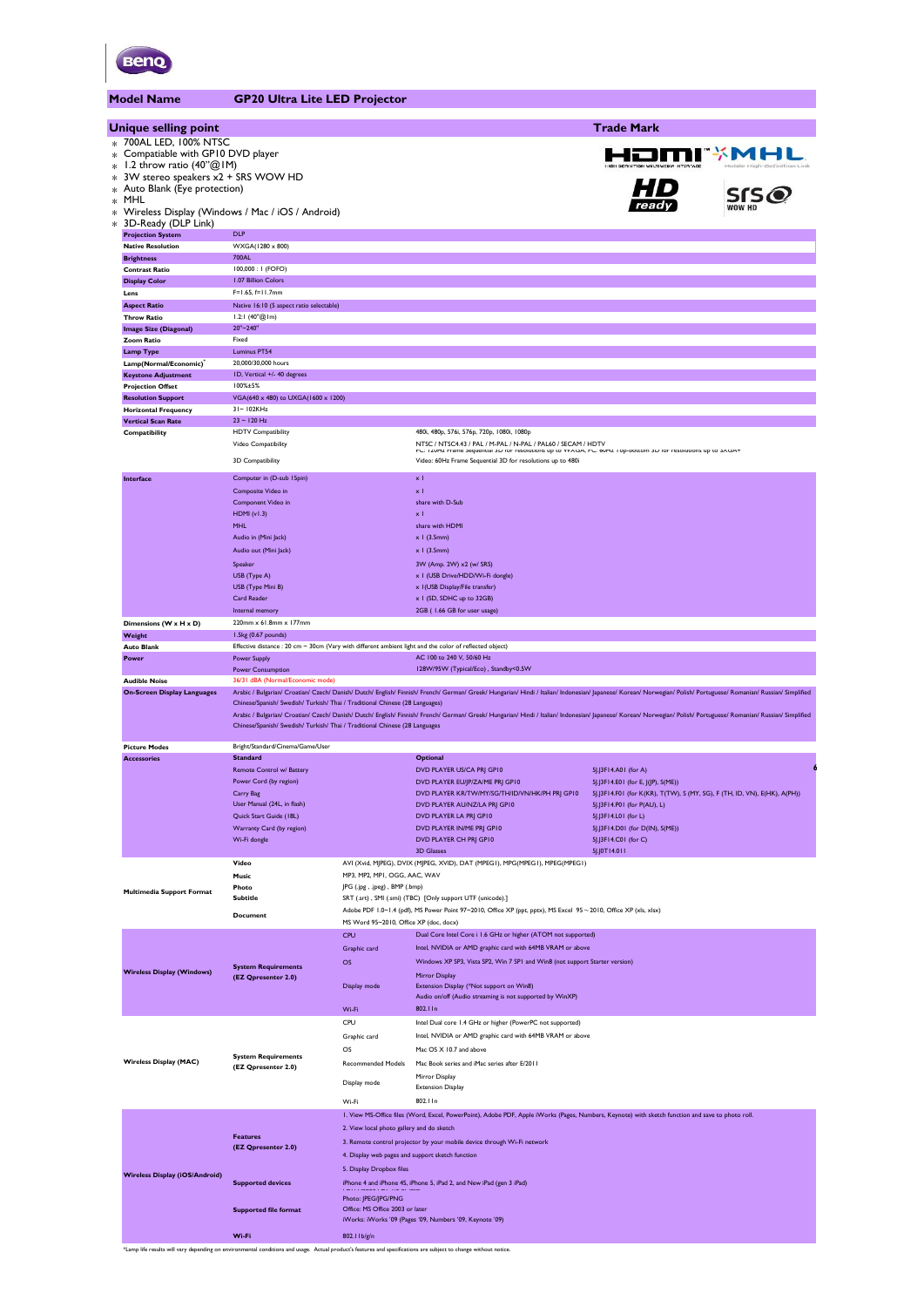

**Model Name GP20 Ultra Lite LED Project** 

| Unique selling point                                             |                                                                                                              |                                                  |                                                                                                                                                                                                                     |                                                                                                          |               |
|------------------------------------------------------------------|--------------------------------------------------------------------------------------------------------------|--------------------------------------------------|---------------------------------------------------------------------------------------------------------------------------------------------------------------------------------------------------------------------|----------------------------------------------------------------------------------------------------------|---------------|
|                                                                  |                                                                                                              |                                                  |                                                                                                                                                                                                                     | <b>Trade Mark</b>                                                                                        |               |
| * 700AL LED, 100% NTSC                                           |                                                                                                              |                                                  |                                                                                                                                                                                                                     |                                                                                                          |               |
| * Compatiable with GP10 DVD player<br>1.2 throw ratio $(40"@1M)$ |                                                                                                              |                                                  |                                                                                                                                                                                                                     |                                                                                                          | HƏMI*MAL      |
| 3W stereo speakers x2 + SRS WOW HD                               |                                                                                                              |                                                  |                                                                                                                                                                                                                     |                                                                                                          |               |
| * Auto Blank (Eye protection)                                    |                                                                                                              |                                                  |                                                                                                                                                                                                                     |                                                                                                          | $SIS$ $\odot$ |
| * MHL                                                            | Wireless Display (Windows / Mac / iOS / Android)                                                             |                                                  |                                                                                                                                                                                                                     |                                                                                                          |               |
| 3D-Ready (DLP Link)                                              |                                                                                                              |                                                  |                                                                                                                                                                                                                     |                                                                                                          |               |
| <b>Projection System</b>                                         | <b>DLP</b>                                                                                                   |                                                  |                                                                                                                                                                                                                     |                                                                                                          |               |
| <b>Native Resolution</b><br><b>Brightness</b>                    | WXGA(1280 x 800)<br>700AL                                                                                    |                                                  |                                                                                                                                                                                                                     |                                                                                                          |               |
| <b>Contrast Ratio</b>                                            | 100,000: 1 (FOFO)                                                                                            |                                                  |                                                                                                                                                                                                                     |                                                                                                          |               |
| <b>Display Color</b>                                             | 1.07 Billion Colors                                                                                          |                                                  |                                                                                                                                                                                                                     |                                                                                                          |               |
| Lens                                                             | $F=1.65, f=11.7$ mm<br>Native 16:10 (5 aspect ratio selectable)                                              |                                                  |                                                                                                                                                                                                                     |                                                                                                          |               |
| <b>Aspect Ratio</b><br><b>Throw Ratio</b>                        | 1.2:1 $(40^{\circ}\textcircled{a} 1\text{m})$                                                                |                                                  |                                                                                                                                                                                                                     |                                                                                                          |               |
| <b>Image Size (Diagonal)</b>                                     | 20"~240"                                                                                                     |                                                  |                                                                                                                                                                                                                     |                                                                                                          |               |
| <b>Zoom Ratio</b>                                                | Fixed<br>Luminus PT54                                                                                        |                                                  |                                                                                                                                                                                                                     |                                                                                                          |               |
| <b>Lamp Type</b><br>Lamp(Normal/Economic)                        | 20,000/30,000 hours                                                                                          |                                                  |                                                                                                                                                                                                                     |                                                                                                          |               |
| <b>Keystone Adjustment</b>                                       | ID, Vertical +/- 40 degrees                                                                                  |                                                  |                                                                                                                                                                                                                     |                                                                                                          |               |
| <b>Projection Offset</b>                                         | 100%±5%                                                                                                      |                                                  |                                                                                                                                                                                                                     |                                                                                                          |               |
| <b>Resolution Support</b><br><b>Horizontal Frequency</b>         | VGA(640 x 480) to UXGA(1600 x 1200)<br>31~102KHz                                                             |                                                  |                                                                                                                                                                                                                     |                                                                                                          |               |
| <b>Vertical Scan Rate</b>                                        | $23 - 120$ Hz                                                                                                |                                                  |                                                                                                                                                                                                                     |                                                                                                          |               |
| Compatibility                                                    | <b>HDTV</b> Compatibility                                                                                    |                                                  | 480i, 480p, 576i, 576p, 720p, 1080i, 1080p                                                                                                                                                                          |                                                                                                          |               |
|                                                                  | Video Compatibility                                                                                          |                                                  | NTSC / NTSC4.43 / PAL / M-PAL / N-PAL / PAL60 / SECAM / HDTV<br>FC. TZUMZ Maine dequential diplot resolutions up to YYAGA, FC. 60MZ TOp-bottoni diplot resolutions up to dAGA*                                      |                                                                                                          |               |
|                                                                  | 3D Compatibility                                                                                             |                                                  | Video: 60Hz Frame Sequential 3D for resolutions up to 480i                                                                                                                                                          |                                                                                                          |               |
| Interface                                                        | Computer in (D-sub 15pin)                                                                                    |                                                  | $\times$ 1                                                                                                                                                                                                          |                                                                                                          |               |
|                                                                  | Composite Video in<br>Component Video in                                                                     |                                                  | $\mathbf{x}$<br>share with D-Sub                                                                                                                                                                                    |                                                                                                          |               |
|                                                                  | <b>HDMI</b> (v1.3)                                                                                           |                                                  | $\times$ 1                                                                                                                                                                                                          |                                                                                                          |               |
|                                                                  | <b>MHL</b>                                                                                                   |                                                  | share with HDMI                                                                                                                                                                                                     |                                                                                                          |               |
|                                                                  | Audio in (Mini Jack)                                                                                         |                                                  | $x$ I (3.5mm)                                                                                                                                                                                                       |                                                                                                          |               |
|                                                                  | Audio out (Mini Jack)                                                                                        |                                                  | $x$ I (3.5mm)                                                                                                                                                                                                       |                                                                                                          |               |
|                                                                  | Speaker<br>USB (Type A)                                                                                      |                                                  | 3W (Amp. 2W) x2 (w/ SRS)<br>x I (USB Drive/HDD/Wi-Fi dongle)                                                                                                                                                        |                                                                                                          |               |
|                                                                  | USB (Type Mini B)                                                                                            |                                                  | x I (USB Display/File transfer)                                                                                                                                                                                     |                                                                                                          |               |
|                                                                  | Card Reader                                                                                                  |                                                  | x I (SD, SDHC up to 32GB)                                                                                                                                                                                           |                                                                                                          |               |
| Dimensions (W x H x D)                                           | Internal memory<br>220mm x 61.8mm x 177mm                                                                    |                                                  | 2GB (1.66 GB for user usage)                                                                                                                                                                                        |                                                                                                          |               |
| Weight                                                           | 1.5kg (0.67 pounds)                                                                                          |                                                  |                                                                                                                                                                                                                     |                                                                                                          |               |
| <b>Auto Blank</b>                                                | Effective distance : 20 cm $\sim$ 30cm (Vary with different ambient light and the color of reflected object) |                                                  |                                                                                                                                                                                                                     |                                                                                                          |               |
| Power                                                            | <b>Power Supply</b><br><b>Power Consumption</b>                                                              |                                                  | AC 100 to 240 V, 50/60 Hz<br>128W/95W (Typical/Eco), Standby<0.5W                                                                                                                                                   |                                                                                                          |               |
| <b>Audible Noise</b>                                             | 36/31 dBA (Normal/Economic mode)                                                                             |                                                  |                                                                                                                                                                                                                     |                                                                                                          |               |
| <b>On-Screen Display Languages</b>                               |                                                                                                              |                                                  | Arabic / Bulgarian/ Croatian/ Czech/ Danish/ Dutch/ English/ Finnish/ French/ German/ Greek/ Hungarian/ Hindi / Italian/ Indonesian/ Japanese/ Korean/ Norwegian/ Polish/ Portuguese/ Romanian/ Russian/ Simplified |                                                                                                          |               |
|                                                                  | Chinese/Spanish/ Swedish/ Turkish/ Thai / Traditional Chinese (28 Languages)                                 |                                                  | Arabic / Bulgarian/ Croatian/ Czech/ Danish/ Dutch/ English/ Finnish/ French/ German/ Greek/ Hungarian/ Hindi / Italian/ Indonesian/ Japanese/ Korean/ Norwegian/ Polish/ Portuguese/ Romanian/ Russian/ Simplified |                                                                                                          |               |
|                                                                  |                                                                                                              |                                                  |                                                                                                                                                                                                                     |                                                                                                          |               |
|                                                                  | Chinese/Spanish/ Swedish/ Turkish/ Thai / Traditional Chinese (28 Languages                                  |                                                  |                                                                                                                                                                                                                     |                                                                                                          |               |
|                                                                  |                                                                                                              |                                                  |                                                                                                                                                                                                                     |                                                                                                          |               |
| <b>Picture Modes</b><br><b>Accessories</b>                       | Bright/Standard/Cinema/Game/User<br><b>Standard</b>                                                          |                                                  | <b>Optional</b>                                                                                                                                                                                                     |                                                                                                          |               |
|                                                                  | Remote Control w/ Battery                                                                                    |                                                  | DVD PLAYER US/CA PRJ GP10                                                                                                                                                                                           | 5J.J3F14.A01 (for A)                                                                                     |               |
|                                                                  | Power Cord (by region)                                                                                       |                                                  | DVD PLAYER EU/JP/ZA/ME PRJ GP10                                                                                                                                                                                     | 5J.J3F14.E01 (for E, J(JP), S(ME))                                                                       |               |
|                                                                  | Carry Bag<br>User Manual (24L, in flash)                                                                     |                                                  | DVD PLAYER KR/TW/MY/SG/TH/ID/VN/HK/PH PRJ GP10<br>DVD PLAYER AU/NZ/LA PRJ GP10                                                                                                                                      | 5J.J3F14.F01 (for K(KR), T(TW), S (MY, SG), F (TH, ID, VN), E(HK), A(PH))<br>5J.J3F14.P01 (for P(AU), L) |               |
|                                                                  | Quick Start Guide (18L)                                                                                      |                                                  | DVD PLAYER LA PRJ GP10                                                                                                                                                                                              | 5J.J3F14.L01 (for L)                                                                                     |               |
|                                                                  | Warranty Card (by region)                                                                                    |                                                  | DVD PLAYER IN/ME PRJ GP10                                                                                                                                                                                           | 5J.J3F14.D01 (for D(IN), S(ME))                                                                          |               |
|                                                                  | Wi-Fi dongle                                                                                                 |                                                  | DVD PLAYER CH PRI GP10<br><b>3D Glasses</b>                                                                                                                                                                         | 5J.J3F14.C01 (for C)<br>5J.J0T14.011                                                                     |               |
|                                                                  | Video                                                                                                        |                                                  | AVI (Xvid, MJPEG), DVIX (MJPEG, XVID), DAT (MPEGI), MPG(MPEGI), MPEG(MPEGI)                                                                                                                                         |                                                                                                          |               |
|                                                                  | Music                                                                                                        | MP3, MP2, MP1, OGG, AAC, WAV                     |                                                                                                                                                                                                                     |                                                                                                          |               |
| <b>Multimedia Support Format</b>                                 | Photo<br><b>Subtitle</b>                                                                                     | JPG (.jpg, .jpeg), BMP (.bmp)                    | SRT (.srt), SMI (.smi) (TBC) [Only support UTF (unicode).]                                                                                                                                                          |                                                                                                          |               |
|                                                                  |                                                                                                              |                                                  | Adobe PDF 1.0~1.4 (pdf), MS Power Point 97~2010, Office XP (ppt, pptx), MS Excel 95~2010, Office XP (xls, xlsx)                                                                                                     |                                                                                                          |               |
|                                                                  | <b>Document</b>                                                                                              | MS Word 95~2010, Office XP (doc, docx)           |                                                                                                                                                                                                                     |                                                                                                          |               |
|                                                                  |                                                                                                              | CPU                                              | Dual Core Intel Core i 1.6 GHz or higher (ATOM not supported)                                                                                                                                                       |                                                                                                          |               |
|                                                                  |                                                                                                              | Graphic card                                     | Intel, NVIDIA or AMD graphic card with 64MB VRAM or above                                                                                                                                                           |                                                                                                          |               |
| <b>Wireless Display (Windows)</b>                                | <b>System Requirements</b>                                                                                   | OS                                               | Windows XP SP3, Vista SP2, Win 7 SPI and Win8 (not support Starter version)<br>Mirror Display                                                                                                                       |                                                                                                          |               |
|                                                                  | (EZ Qpresenter 2.0)                                                                                          | Display mode                                     | Extension Display (*Not support on Win8)                                                                                                                                                                            |                                                                                                          |               |
|                                                                  |                                                                                                              |                                                  | Audio on/off (Audio streaming is not supported by WinXP)                                                                                                                                                            |                                                                                                          |               |
|                                                                  |                                                                                                              | Wi-Fi                                            | 802.11n                                                                                                                                                                                                             |                                                                                                          |               |
|                                                                  |                                                                                                              | CPU<br>Graphic card                              | Intel Dual core 1.4 GHz or higher (PowerPC not supported)<br>Intel, NVIDIA or AMD graphic card with 64MB VRAM or above                                                                                              |                                                                                                          |               |
|                                                                  |                                                                                                              | OS                                               | Mac OS X 10.7 and above                                                                                                                                                                                             |                                                                                                          |               |
| <b>Wireless Display (MAC)</b>                                    | <b>System Requirements</b>                                                                                   | <b>Recommended Models</b>                        | Mac Book series and iMac series after E/2011                                                                                                                                                                        |                                                                                                          |               |
|                                                                  | (EZ Qpresenter 2.0)                                                                                          |                                                  | Mirror Display                                                                                                                                                                                                      |                                                                                                          |               |
|                                                                  |                                                                                                              | Display mode                                     | <b>Extension Display</b>                                                                                                                                                                                            |                                                                                                          |               |
|                                                                  |                                                                                                              | Wi-Fi                                            | 802.11n                                                                                                                                                                                                             |                                                                                                          |               |
|                                                                  |                                                                                                              |                                                  | I. View MS-Office files (Word, Excel, PowerPoint), Adobe PDF, Apple iWorks (Pages, Numbers, Keynote) with sketch function and save to photo roll.                                                                   |                                                                                                          |               |
|                                                                  | <b>Features</b>                                                                                              | 2. View local photo gallery and do sketch        |                                                                                                                                                                                                                     |                                                                                                          |               |
|                                                                  | (EZ Qpresenter 2.0)                                                                                          | 4. Display web pages and support sketch function | 3. Remote control projector by your mobile device through Wi-Fi network                                                                                                                                             |                                                                                                          |               |
|                                                                  |                                                                                                              | 5. Display Dropbox files                         |                                                                                                                                                                                                                     |                                                                                                          |               |
| <b>Wireless Display (iOS/Android)</b>                            | <b>Supported devices</b>                                                                                     |                                                  | iPhone 4 and iPhone 4S, iPhone 5, iPad 2, and New iPad (gen 3 iPad)                                                                                                                                                 |                                                                                                          |               |
|                                                                  |                                                                                                              | Photo: JPEG/JPG/PNG                              |                                                                                                                                                                                                                     |                                                                                                          |               |
|                                                                  | <b>Supported file format</b>                                                                                 | Office: MS Office 2003 or later                  |                                                                                                                                                                                                                     |                                                                                                          |               |
|                                                                  | Wi-Fi                                                                                                        | 802.11b/g/n                                      | iWorks: iWorks '09 (Pages '09, Numbers '09, Keynote '09)                                                                                                                                                            |                                                                                                          |               |

\*Lamp life results will vary depending on environmental conditions and usage. Actual product's features and specifications are subject to change without notice.